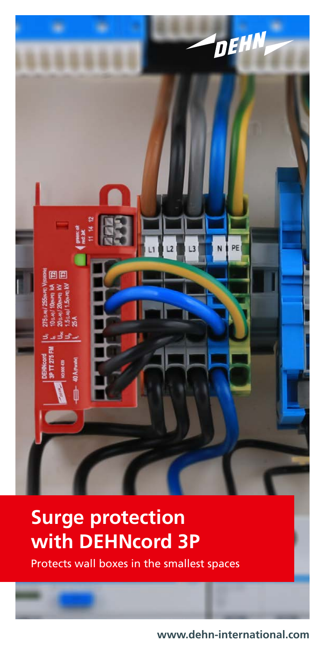

# **Surge protection with DEHNcord 3P**

Protects wall boxes in the smallest spaces

**www.dehn-international.com**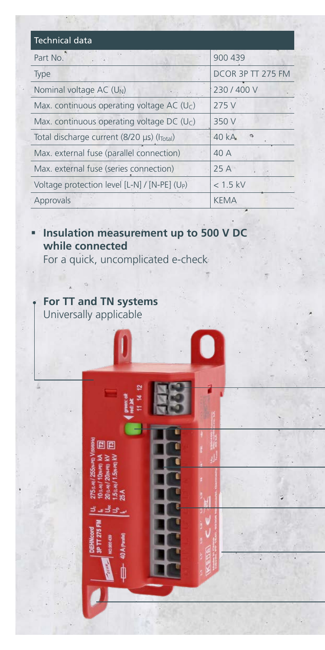| <b>Technical data</b>                                         |                   |
|---------------------------------------------------------------|-------------------|
| Part No.                                                      | 900 439           |
| <b>Type</b>                                                   | DCOR 3P TT 275 FM |
| Nominal voltage AC (U <sub>N</sub> )                          | 230/400V          |
| Max. continuous operating voltage AC (Uc)                     | 275 V             |
| Max. continuous operating voltage DC (Uc)                     | 350 V             |
| Total discharge current (8/20 $\mu$ s) ( $I_{\text{Total}}$ ) | 40 kA             |
| Max. external fuse (parallel connection)                      | 40 A              |
| Max. external fuse (series connection)                        | 25A               |
| Voltage protection level [L-N] / [N-PE] (U <sub>P</sub> )     | $< 1.5$ kV        |
| Approvals                                                     | <b>KEMA</b>       |

#### **Insulation measurement up to 500 V DC while connected**

For a quick, uncomplicated e-check

#### **For TT and TN systems** Universally applicable

90

20 a.s.<br>1.5 a.s தீதி

**Exchange Cont**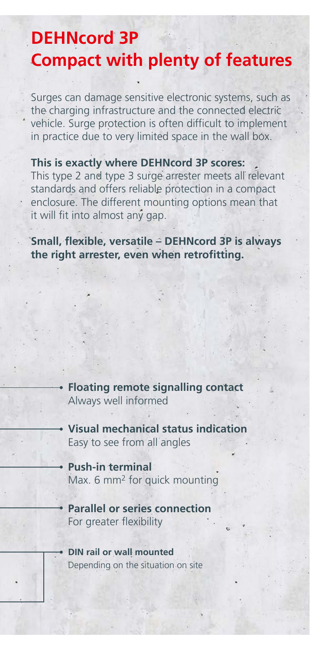## **DEHNcord 3P Compact with plenty of features**

Surges can damage sensitive electronic systems, such as the charging infrastructure and the connected electric vehicle. Surge protection is often difficult to implement in practice due to very limited space in the wall box.

#### **This is exactly where DEHNcord 3P scores:**

This type 2 and type 3 surge arrester meets all relevant standards and offers reliable protection in a compact enclosure. The different mounting options mean that it will fit into almost any gap.

**Small, flexible, versatile – DEHNcord 3P is always the right arrester, even when retrofitting.**

> **Floating remote signalling contact** Always well informed

**Visual mechanical status indication** Easy to see from all angles

**Push-in terminal** Max. 6 mm2 for quick mounting

- **Parallel or series connection** For greater flexibility
- **DIN rail or wall mounted** Depending on the situation on site